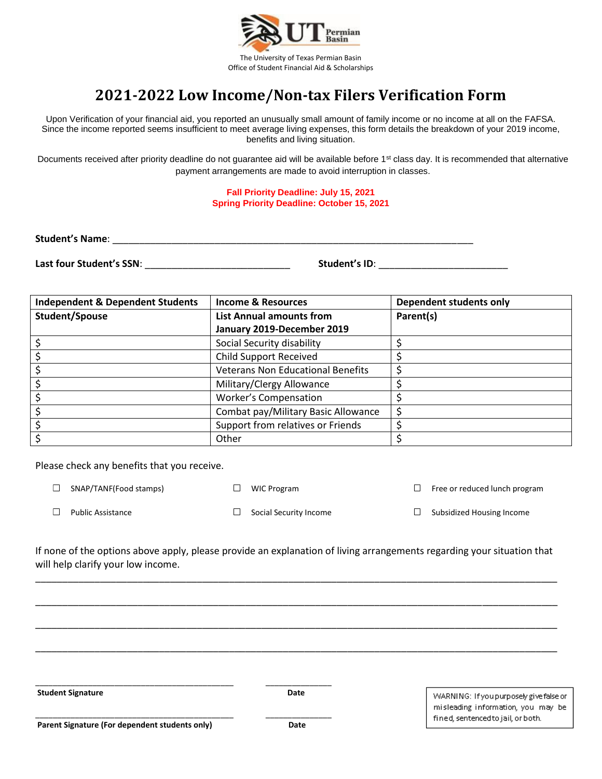

## **2021-2022 Low Income/Non-tax Filers Verification Form**

Upon Verification of your financial aid, you reported an unusually small amount of family income or no income at all on the FAFSA. Since the income reported seems insufficient to meet average living expenses, this form details the breakdown of your 2019 income, benefits and living situation.

Documents received after priority deadline do not guarantee aid will be available before 1<sup>st</sup> class day. It is recommended that alternative payment arrangements are made to avoid interruption in classes.

## **Fall Priority Deadline: July 15, 2021 Spring Priority Deadline: October 15, 2021**

Student's Name:

**Last four Student's SSN**: \_\_\_\_\_\_\_\_\_\_\_\_\_\_\_\_\_\_\_\_\_\_\_\_\_\_\_ **Student's ID**: \_\_\_\_\_\_\_\_\_\_\_\_\_\_\_\_\_\_\_\_\_\_\_\_

| <b>Independent &amp; Dependent Students</b> | <b>Income &amp; Resources</b>            | <b>Dependent students only</b> |
|---------------------------------------------|------------------------------------------|--------------------------------|
| Student/Spouse                              | <b>List Annual amounts from</b>          | Parent(s)                      |
|                                             | January 2019-December 2019               |                                |
|                                             | Social Security disability               |                                |
|                                             | <b>Child Support Received</b>            |                                |
|                                             | <b>Veterans Non Educational Benefits</b> |                                |
|                                             | Military/Clergy Allowance                |                                |
|                                             | <b>Worker's Compensation</b>             |                                |
|                                             | Combat pay/Military Basic Allowance      |                                |
|                                             | Support from relatives or Friends        |                                |
|                                             | Other                                    |                                |

Please check any benefits that you receive.

| SNAP/TANF(Food stamps)   | $\Box$ WIC Program            | Free or reduced lunch program |
|--------------------------|-------------------------------|-------------------------------|
| <b>Public Assistance</b> | $\Box$ Social Security Income | Subsidized Housing Income     |

If none of the options above apply, please provide an explanation of living arrangements regarding your situation that will help clarify your low income.

\_\_\_\_\_\_\_\_\_\_\_\_\_\_\_\_\_\_\_\_\_\_\_\_\_\_\_\_\_\_\_\_\_\_\_\_\_\_\_\_\_\_\_\_\_\_\_\_\_\_\_\_\_\_\_\_\_\_\_\_\_\_\_\_\_\_\_\_\_\_\_\_\_\_\_\_\_\_\_\_\_\_\_\_\_\_\_\_\_\_\_\_\_\_\_\_\_

\_\_\_\_\_\_\_\_\_\_\_\_\_\_\_\_\_\_\_\_\_\_\_\_\_\_\_\_\_\_\_\_\_\_\_\_\_\_\_\_\_\_\_\_\_\_\_\_\_\_\_\_\_\_\_\_\_\_\_\_\_\_\_\_\_\_\_\_\_\_\_\_\_\_\_\_\_\_\_\_\_\_\_\_\_\_\_\_\_\_\_\_\_\_\_\_\_

\_\_\_\_\_\_\_\_\_\_\_\_\_\_\_\_\_\_\_\_\_\_\_\_\_\_\_\_\_\_\_\_\_\_\_\_\_\_\_\_\_\_\_\_\_\_\_\_\_\_\_\_\_\_\_\_\_\_\_\_\_\_\_\_\_\_\_\_\_\_\_\_\_\_\_\_\_\_\_\_\_\_\_\_\_\_\_\_\_\_\_\_\_\_\_\_\_

\_\_\_\_\_\_\_\_\_\_\_\_\_\_\_\_\_\_\_\_\_\_\_\_\_\_\_\_\_\_\_\_\_\_\_\_\_\_\_\_\_\_\_\_\_\_\_\_\_\_\_\_\_\_\_\_\_\_\_\_\_\_\_\_\_\_\_\_\_\_\_\_\_\_\_\_\_\_\_\_\_\_\_\_\_\_\_\_\_\_\_\_\_\_\_\_\_

**Student Signature Date** 

WARNING: If you purposely give false or misleading information, you may be fined, sentenced to jail, or both.

Parent Signature (For dependent students only) Date

\_\_\_\_\_\_\_\_\_\_\_\_\_\_\_\_\_\_\_\_\_\_\_\_\_\_\_\_\_\_\_\_\_\_\_\_\_\_\_\_\_\_\_\_\_ \_\_\_\_\_\_\_\_\_\_\_\_\_\_\_

\_\_\_\_\_\_\_\_\_\_\_\_\_\_\_\_\_\_\_\_\_\_\_\_\_\_\_\_\_\_\_\_\_\_\_\_\_\_\_\_\_\_\_\_\_ \_\_\_\_\_\_\_\_\_\_\_\_\_\_\_